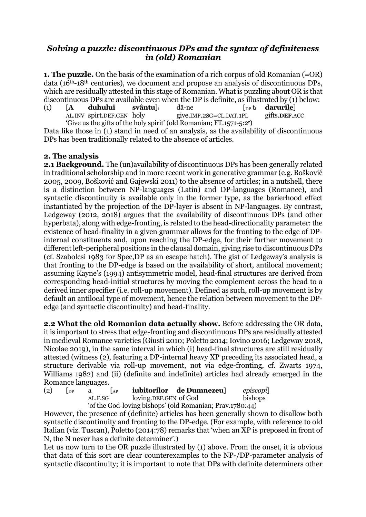## *Solving a puzzle: discontinuous DPs and the syntax of definiteness in (old) Romanian*

**1. The puzzle.** On the basis of the examination of a rich corpus of old Romanian (=OR) data (16th-18th centuries), we document and propose an analysis of discontinuous DPs, which are residually attested in this stage of Romanian. What is puzzling about OR is that discontinuous DPs are available even when the DP is definite, as illustrated by (1) below:

(1)  $[A \quad duhului \quad svântu]_i$  dă-ne [<sub>DP</sub> t<sub>i</sub> **darurile**]<br>AL.INV spirt.DEF.GEN holy give.IMP.2SG=CL.DAT.1PL gifts.DEF.A AL.INV spirt.DEF.GEN holy give.IMP.2SG=CL.DAT.1PL gifts.**DEF**.ACC 'Give us the gifts of the holy spirit' (old Romanian; FT.1571-5:2r )

Data like those in (1) stand in need of an analysis, as the availability of discontinuous DPs has been traditionally related to the absence of articles.

## **2. The analysis**

**2.1 Background.** The (un)availability of discontinuous DPs has been generally related in traditional scholarship and in more recent work in generative grammar (e.g. Bošković 2005, 2009, Bošković and Gajewski 2011) to the absence of articles; in a nutshell, there is a distinction between NP-languages (Latin) and DP-languages (Romance), and syntactic discontinuity is available only in the former type, as the barierhood effect instantiated by the projection of the DP-layer is absent in NP-languages. By contrast, Ledgeway (2012, 2018) argues that the availability of discontinuous DPs (and other hyperbata), along with edge-fronting, is related to the head-directionality parameter: the existence of head-finality in a given grammar allows for the fronting to the edge of DPinternal constituents and, upon reaching the DP-edge, for their further movement to different left-peripheral positions in the clausal domain, giving rise to discontinuous DPs (cf. Szabolcsi 1983 for Spec,DP as an escape hatch). The gist of Ledgeway's analysis is that fronting to the DP-edge is based on the availability of short, antilocal movement; assuming Kayne's (1994) antisymmetric model, head-final structures are derived from corresponding head-initial structures by moving the complement across the head to a derived inner specifier (i.e. roll-up movement). Defined as such, roll-up movement is by default an antilocal type of movement, hence the relation between movement to the DPedge (and syntactic discontinuity) and head-finality.

**2.2 What the old Romanian data actually show.** Before addressing the OR data, it is important to stress that edge-fronting and discontinuous DPs are residually attested in medieval Romance varieties (Giusti 2010; Poletto 2014; Iovino 2016; Ledgeway 2018, Nicolae 2019), in the same interval in which (i) head-final structures are still residually attested (witness (2), featuring a DP-internal heavy XP preceding its associated head, a structure derivable via roll-up movement, not via edge-fronting, cf. Zwarts 1974, Williams 1982) and (ii) (definite and indefinite) articles had already emerged in the Romance languages.

(2) [DP a [AP **iubitorilor de Dumnezeu**] *episcopi*] loving.DEF.GEN of God bishops 'of the God-loving bishops' (old Romanian; Prav.1780:44)

However, the presence of (definite) articles has been generally shown to disallow both syntactic discontinuity and fronting to the DP-edge. (For example, with reference to old Italian (viz. Tuscan), Poletto (2014:78) remarks that 'when an XP is preposed in front of N, the N never has a definite determiner'.)

Let us now turn to the OR puzzle illustrated by (1) above. From the onset, it is obvious that data of this sort are clear counterexamples to the NP-/DP-parameter analysis of syntactic discontinuity; it is important to note that DPs with definite determiners other